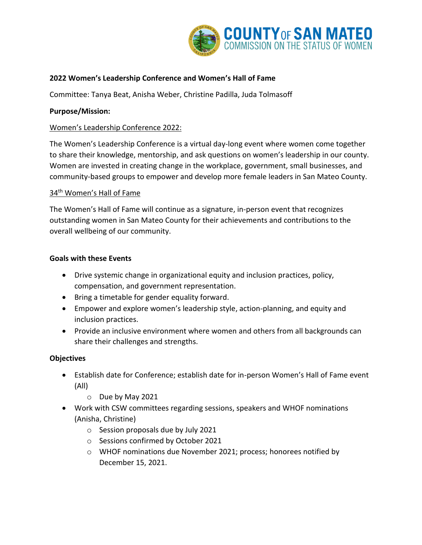

# **2022 Women's Leadership Conference and Women's Hall of Fame**

Committee: Tanya Beat, Anisha Weber, Christine Padilla, Juda Tolmasoff

# **Purpose/Mission:**

# Women's Leadership Conference 2022:

The Women's Leadership Conference is a virtual day-long event where women come together to share their knowledge, mentorship, and ask questions on women's leadership in our county. Women are invested in creating change in the workplace, government, small businesses, and community-based groups to empower and develop more female leaders in San Mateo County.

### 34th Women's Hall of Fame

The Women's Hall of Fame will continue as a signature, in-person event that recognizes outstanding women in San Mateo County for their achievements and contributions to the overall wellbeing of our community.

### **Goals with these Events**

- Drive systemic change in organizational equity and inclusion practices, policy, compensation, and government representation.
- Bring a timetable for gender equality forward.
- Empower and explore women's leadership style, action-planning, and equity and inclusion practices.
- Provide an inclusive environment where women and others from all backgrounds can share their challenges and strengths.

### **Objectives**

- Establish date for Conference; establish date for in-person Women's Hall of Fame event (All)
	- o Due by May 2021
- Work with CSW committees regarding sessions, speakers and WHOF nominations (Anisha, Christine)
	- o Session proposals due by July 2021
	- o Sessions confirmed by October 2021
	- o WHOF nominations due November 2021; process; honorees notified by December 15, 2021.